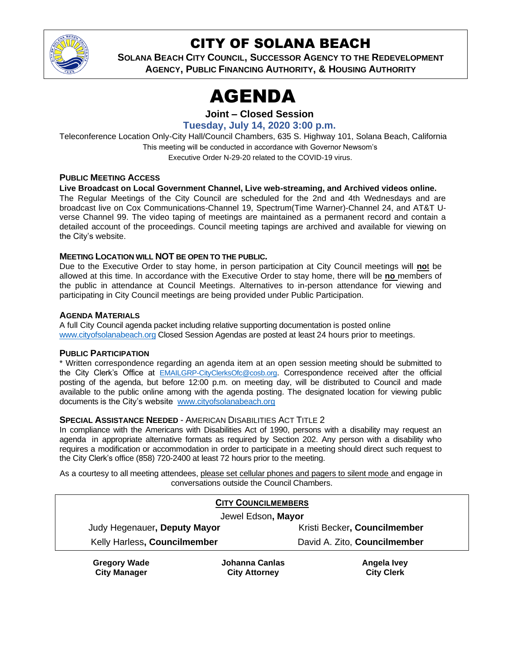

# CITY OF SOLANA BEACH

**SOLANA BEACH CITY COUNCIL, SUCCESSOR AGENCY TO THE REDEVELOPMENT AGENCY, PUBLIC FINANCING AUTHORITY, & HOUSING AUTHORITY**

# **AGENDA**

**Joint – Closed Session**

**Tuesday, July 14, 2020 3:00 p.m.**

Teleconference Location Only-City Hall/Council Chambers, 635 S. Highway 101, Solana Beach, California This meeting will be conducted in accordance with Governor Newsom's Executive Order N-29-20 related to the COVID-19 virus.

## **PUBLIC MEETING ACCESS**

**Live Broadcast on Local Government Channel, Live web-streaming, and Archived videos online.** The Regular Meetings of the City Council are scheduled for the 2nd and 4th Wednesdays and are broadcast live on Cox Communications-Channel 19, Spectrum(Time Warner)-Channel 24, and AT&T Uverse Channel 99. The video taping of meetings are maintained as a permanent record and contain a detailed account of the proceedings. Council meeting tapings are archived and available for viewing on the City's website.

## **MEETING LOCATION WILL NOT BE OPEN TO THE PUBLIC.**

Due to the Executive Order to stay home, in person participation at City Council meetings will **no**t be allowed at this time. In accordance with the Executive Order to stay home, there will be **no** members of the public in attendance at Council Meetings. Alternatives to in-person attendance for viewing and participating in City Council meetings are being provided under Public Participation.

#### **AGENDA MATERIALS**

A full City Council agenda packet including relative supporting documentation is posted online [www.cityofsolanabeach.org](https://urldefense.proofpoint.com/v2/url?u=http-3A__www.cityofsolanabeach.org&d=DwQFAg&c=euGZstcaTDllvimEN8b7jXrwqOf-v5A_CdpgnVfiiMM&r=1XAsCUuqwK_tji2t0s1uIQ&m=wny2RVfZJ2tN24LkqZmkUWNpwL_peNtTZUBlTBZiMM4&s=6ATguqxJUOD7VVtloplAbyuyNaVcEh6Fl4q1iw55lCY&e=) Closed Session Agendas are posted at least 24 hours prior to meetings.

#### **PUBLIC PARTICIPATION**

\* Written correspondence regarding an agenda item at an open session meeting should be submitted to the City Clerk's Office at [EMAILGRP-CityClerksOfc@cosb.org](mailto:EMAILGRP-CityClerksOfc@cosb.org). Correspondence received after the official posting of the agenda, but before 12:00 p.m. on meeting day, will be distributed to Council and made available to the public online among with the agenda posting. The designated location for viewing public documents is the City's website [www.cityofsolanabeach.org](http://www.cityofsolanabeach.org/)

#### **SPECIAL ASSISTANCE NEEDED** - AMERICAN DISABILITIES ACT TITLE 2

In compliance with the Americans with Disabilities Act of 1990, persons with a disability may request an agenda in appropriate alternative formats as required by Section 202. Any person with a disability who requires a modification or accommodation in order to participate in a meeting should direct such request to the City Clerk's office (858) 720-2400 at least 72 hours prior to the meeting.

As a courtesy to all meeting attendees, please set cellular phones and pagers to silent mode and engage in conversations outside the Council Chambers.

| <b>CITY COUNCILMEMBERS</b>   |                |                              |
|------------------------------|----------------|------------------------------|
| Jewel Edson, Mayor           |                |                              |
| Judy Hegenauer, Deputy Mayor |                | Kristi Becker, Councilmember |
| Kelly Harless, Councilmember |                | David A. Zito, Councilmember |
| <b>Gregory Wade</b>          | Johanna Canlas | weyl slennA                  |

**Gregory Wade City Manager** **Johanna Canlas City Attorney**

**Angela Ivey City Clerk**